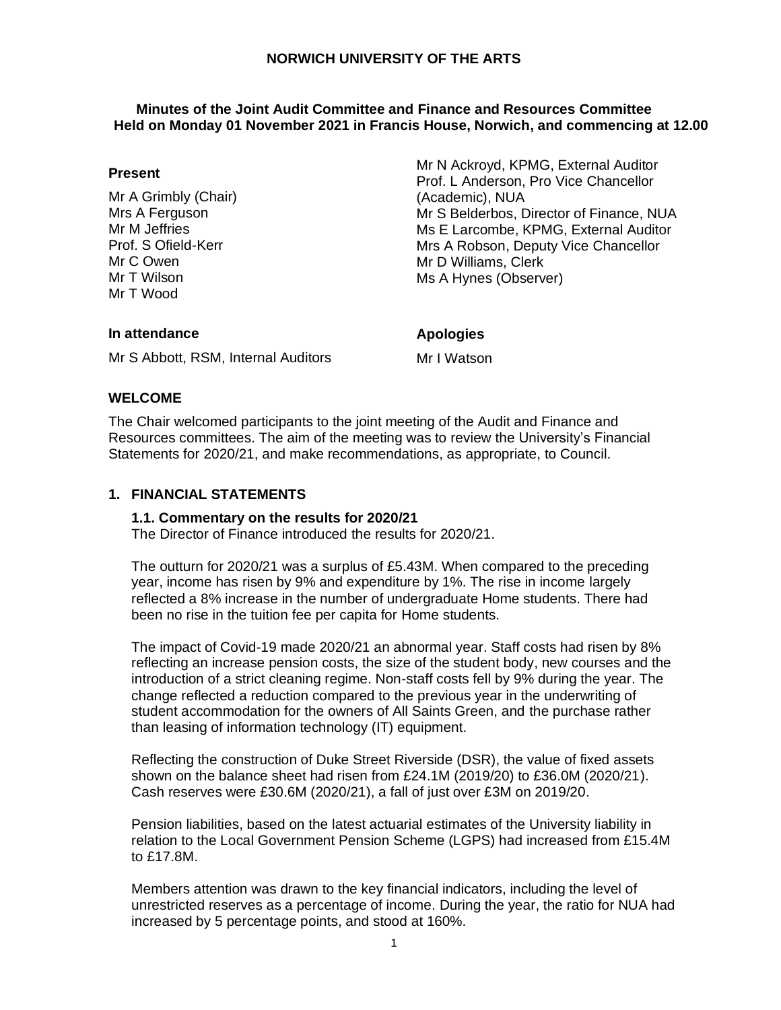### **Minutes of the Joint Audit Committee and Finance and Resources Committee Held on Monday 01 November 2021 in Francis House, Norwich, and commencing at 12.00**

### **Present**

Mr A Grimbly (Chair) Mrs A Ferguson Mr M Jeffries Prof. S Ofield-Kerr Mr C Owen Mr T Wilson Mr T Wood

Mr N Ackroyd, KPMG, External Auditor Prof. L Anderson, Pro Vice Chancellor (Academic), NUA Mr S Belderbos, Director of Finance, NUA Ms E Larcombe, KPMG, External Auditor Mrs A Robson, Deputy Vice Chancellor Mr D Williams, Clerk Ms A Hynes (Observer)

### **In attendance**

**Apologies**

Mr S Abbott, RSM, Internal Auditors

Mr I Watson

## **WELCOME**

The Chair welcomed participants to the joint meeting of the Audit and Finance and Resources committees. The aim of the meeting was to review the University's Financial Statements for 2020/21, and make recommendations, as appropriate, to Council.

## **1. FINANCIAL STATEMENTS**

#### **1.1. Commentary on the results for 2020/21**

The Director of Finance introduced the results for 2020/21.

The outturn for 2020/21 was a surplus of £5.43M. When compared to the preceding year, income has risen by 9% and expenditure by 1%. The rise in income largely reflected a 8% increase in the number of undergraduate Home students. There had been no rise in the tuition fee per capita for Home students.

The impact of Covid-19 made 2020/21 an abnormal year. Staff costs had risen by 8% reflecting an increase pension costs, the size of the student body, new courses and the introduction of a strict cleaning regime. Non-staff costs fell by 9% during the year. The change reflected a reduction compared to the previous year in the underwriting of student accommodation for the owners of All Saints Green, and the purchase rather than leasing of information technology (IT) equipment.

Reflecting the construction of Duke Street Riverside (DSR), the value of fixed assets shown on the balance sheet had risen from £24.1M (2019/20) to £36.0M (2020/21). Cash reserves were £30.6M (2020/21), a fall of just over £3M on 2019/20.

Pension liabilities, based on the latest actuarial estimates of the University liability in relation to the Local Government Pension Scheme (LGPS) had increased from £15.4M to £17.8M.

Members attention was drawn to the key financial indicators, including the level of unrestricted reserves as a percentage of income. During the year, the ratio for NUA had increased by 5 percentage points, and stood at 160%.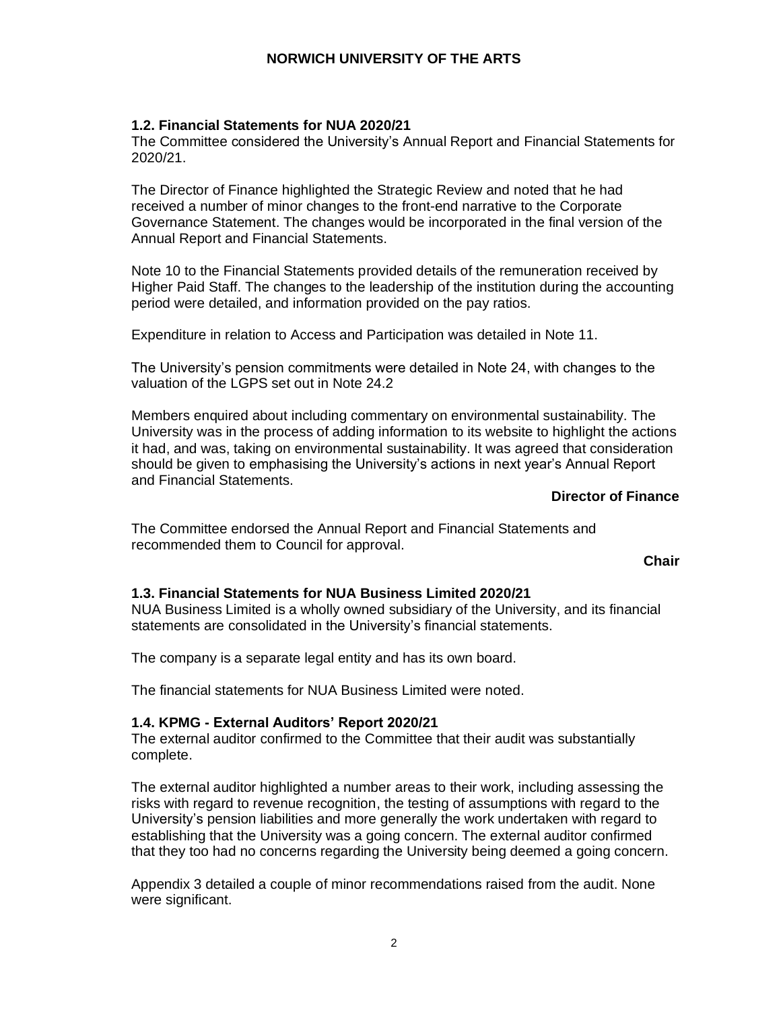# **1.2. Financial Statements for NUA 2020/21**

The Committee considered the University's Annual Report and Financial Statements for 2020/21.

The Director of Finance highlighted the Strategic Review and noted that he had received a number of minor changes to the front-end narrative to the Corporate Governance Statement. The changes would be incorporated in the final version of the Annual Report and Financial Statements.

Note 10 to the Financial Statements provided details of the remuneration received by Higher Paid Staff. The changes to the leadership of the institution during the accounting period were detailed, and information provided on the pay ratios.

Expenditure in relation to Access and Participation was detailed in Note 11.

The University's pension commitments were detailed in Note 24, with changes to the valuation of the LGPS set out in Note 24.2

Members enquired about including commentary on environmental sustainability. The University was in the process of adding information to its website to highlight the actions it had, and was, taking on environmental sustainability. It was agreed that consideration should be given to emphasising the University's actions in next year's Annual Report and Financial Statements.

## **Director of Finance**

The Committee endorsed the Annual Report and Financial Statements and recommended them to Council for approval.

**Chair**

#### **1.3. Financial Statements for NUA Business Limited 2020/21**

NUA Business Limited is a wholly owned subsidiary of the University, and its financial statements are consolidated in the University's financial statements.

The company is a separate legal entity and has its own board.

The financial statements for NUA Business Limited were noted.

#### **1.4. KPMG - External Auditors' Report 2020/21**

The external auditor confirmed to the Committee that their audit was substantially complete.

The external auditor highlighted a number areas to their work, including assessing the risks with regard to revenue recognition, the testing of assumptions with regard to the University's pension liabilities and more generally the work undertaken with regard to establishing that the University was a going concern. The external auditor confirmed that they too had no concerns regarding the University being deemed a going concern.

Appendix 3 detailed a couple of minor recommendations raised from the audit. None were significant.